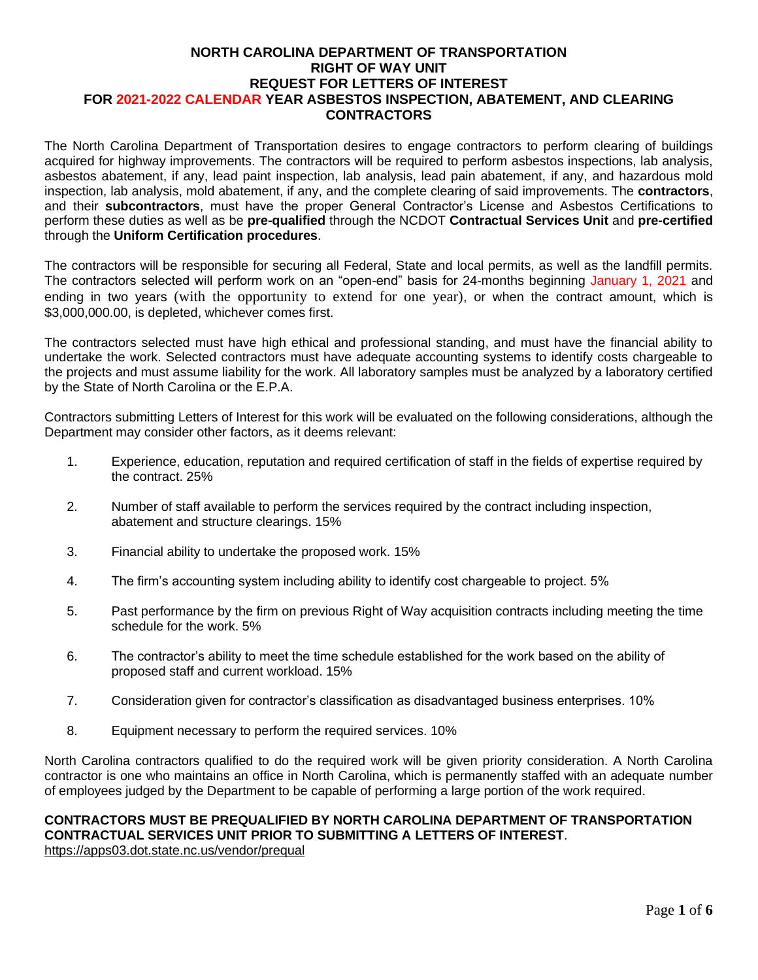#### **NORTH CAROLINA DEPARTMENT OF TRANSPORTATION RIGHT OF WAY UNIT REQUEST FOR LETTERS OF INTEREST FOR 2021-2022 CALENDAR YEAR ASBESTOS INSPECTION, ABATEMENT, AND CLEARING CONTRACTORS**

The North Carolina Department of Transportation desires to engage contractors to perform clearing of buildings acquired for highway improvements. The contractors will be required to perform asbestos inspections, lab analysis, asbestos abatement, if any, lead paint inspection, lab analysis, lead pain abatement, if any, and hazardous mold inspection, lab analysis, mold abatement, if any, and the complete clearing of said improvements. The **contractors**, and their **subcontractors**, must have the proper General Contractor's License and Asbestos Certifications to perform these duties as well as be **pre-qualified** through the NCDOT **Contractual Services Unit** and **pre-certified** through the **Uniform Certification procedures**.

The contractors will be responsible for securing all Federal, State and local permits, as well as the landfill permits. The contractors selected will perform work on an "open-end" basis for 24-months beginning January 1, 2021 and ending in two years (with the opportunity to extend for one year), or when the contract amount, which is \$3,000,000.00, is depleted, whichever comes first.

The contractors selected must have high ethical and professional standing, and must have the financial ability to undertake the work. Selected contractors must have adequate accounting systems to identify costs chargeable to the projects and must assume liability for the work. All laboratory samples must be analyzed by a laboratory certified by the State of North Carolina or the E.P.A.

Contractors submitting Letters of Interest for this work will be evaluated on the following considerations, although the Department may consider other factors, as it deems relevant:

- 1. Experience, education, reputation and required certification of staff in the fields of expertise required by the contract. 25%
- 2. Number of staff available to perform the services required by the contract including inspection, abatement and structure clearings. 15%
- 3. Financial ability to undertake the proposed work. 15%
- 4. The firm's accounting system including ability to identify cost chargeable to project. 5%
- 5. Past performance by the firm on previous Right of Way acquisition contracts including meeting the time schedule for the work. 5%
- 6. The contractor's ability to meet the time schedule established for the work based on the ability of proposed staff and current workload. 15%
- 7. Consideration given for contractor's classification as disadvantaged business enterprises. 10%
- 8. Equipment necessary to perform the required services. 10%

North Carolina contractors qualified to do the required work will be given priority consideration. A North Carolina contractor is one who maintains an office in North Carolina, which is permanently staffed with an adequate number of employees judged by the Department to be capable of performing a large portion of the work required.

#### **CONTRACTORS MUST BE PREQUALIFIED BY NORTH CAROLINA DEPARTMENT OF TRANSPORTATION CONTRACTUAL SERVICES UNIT PRIOR TO SUBMITTING A LETTERS OF INTEREST**. <https://apps03.dot.state.nc.us/vendor/prequal>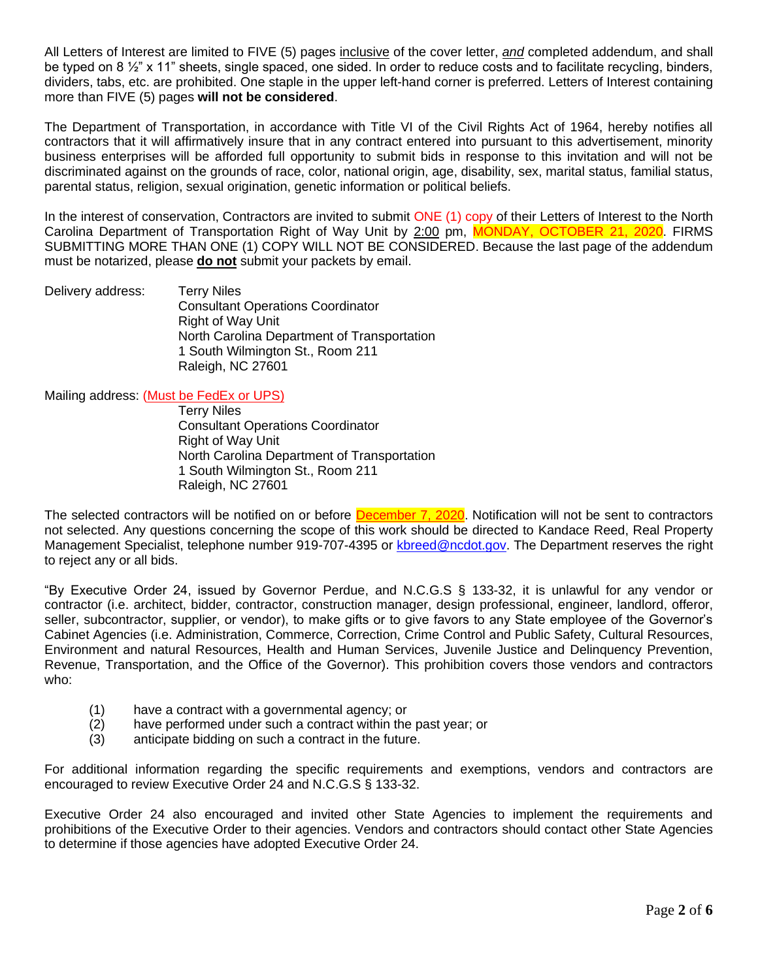All Letters of Interest are limited to FIVE (5) pages inclusive of the cover letter, *and* completed addendum, and shall be typed on 8  $\frac{1}{2}$ " x 11" sheets, single spaced, one sided. In order to reduce costs and to facilitate recycling, binders, dividers, tabs, etc. are prohibited. One staple in the upper left-hand corner is preferred. Letters of Interest containing more than FIVE (5) pages **will not be considered**.

The Department of Transportation, in accordance with Title VI of the Civil Rights Act of 1964, hereby notifies all contractors that it will affirmatively insure that in any contract entered into pursuant to this advertisement, minority business enterprises will be afforded full opportunity to submit bids in response to this invitation and will not be discriminated against on the grounds of race, color, national origin, age, disability, sex, marital status, familial status, parental status, religion, sexual origination, genetic information or political beliefs.

In the interest of conservation, Contractors are invited to submit ONE (1) copy of their Letters of Interest to the North Carolina Department of Transportation Right of Way Unit by 2:00 pm, MONDAY, OCTOBER 21, 2020. FIRMS SUBMITTING MORE THAN ONE (1) COPY WILL NOT BE CONSIDERED. Because the last page of the addendum must be notarized, please **do not** submit your packets by email.

Delivery address: Terry Niles Consultant Operations Coordinator Right of Way Unit North Carolina Department of Transportation 1 South Wilmington St., Room 211 Raleigh, NC 27601

Mailing address: (Must be FedEx or UPS)

Terry Niles Consultant Operations Coordinator Right of Way Unit North Carolina Department of Transportation 1 South Wilmington St., Room 211 Raleigh, NC 27601

The selected contractors will be notified on or before December 7, 2020. Notification will not be sent to contractors not selected. Any questions concerning the scope of this work should be directed to Kandace Reed, Real Property Management Specialist, telephone number 919-707-4395 or [kbreed@ncdot.gov.](mailto:kbreed@ncdot.gov) The Department reserves the right to reject any or all bids.

"By Executive Order 24, issued by Governor Perdue, and N.C.G.S § 133-32, it is unlawful for any vendor or contractor (i.e. architect, bidder, contractor, construction manager, design professional, engineer, landlord, offeror, seller, subcontractor, supplier, or vendor), to make gifts or to give favors to any State employee of the Governor's Cabinet Agencies (i.e. Administration, Commerce, Correction, Crime Control and Public Safety, Cultural Resources, Environment and natural Resources, Health and Human Services, Juvenile Justice and Delinquency Prevention, Revenue, Transportation, and the Office of the Governor). This prohibition covers those vendors and contractors who:

- (1) have a contract with a governmental agency; or
- (2) have performed under such a contract within the past year; or
- (3) anticipate bidding on such a contract in the future.

For additional information regarding the specific requirements and exemptions, vendors and contractors are encouraged to review Executive Order 24 and N.C.G.S § 133-32.

Executive Order 24 also encouraged and invited other State Agencies to implement the requirements and prohibitions of the Executive Order to their agencies. Vendors and contractors should contact other State Agencies to determine if those agencies have adopted Executive Order 24.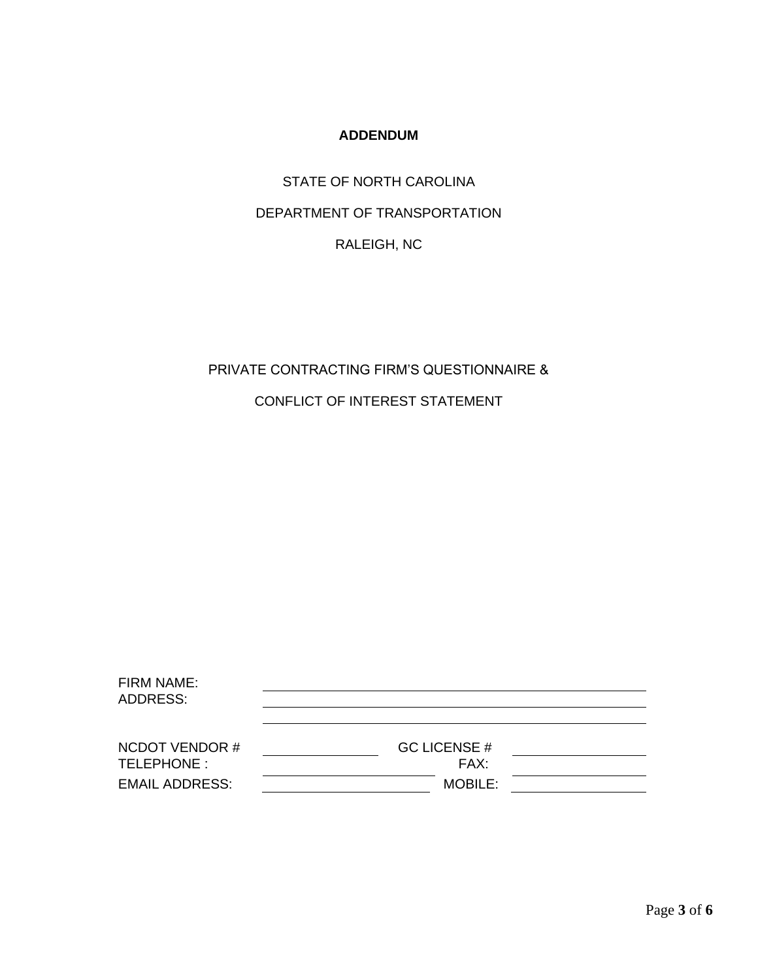# **ADDENDUM**

STATE OF NORTH CAROLINA DEPARTMENT OF TRANSPORTATION RALEIGH, NC

# PRIVATE CONTRACTING FIRM'S QUESTIONNAIRE &

CONFLICT OF INTEREST STATEMENT

| <b>FIRM NAME:</b><br><b>ADDRESS:</b> |                             |  |
|--------------------------------------|-----------------------------|--|
| <b>NCDOT VENDOR#</b><br>TELEPHONE:   | <b>GC LICENSE #</b><br>FAX: |  |
| <b>EMAIL ADDRESS:</b>                | <b>MOBILE:</b>              |  |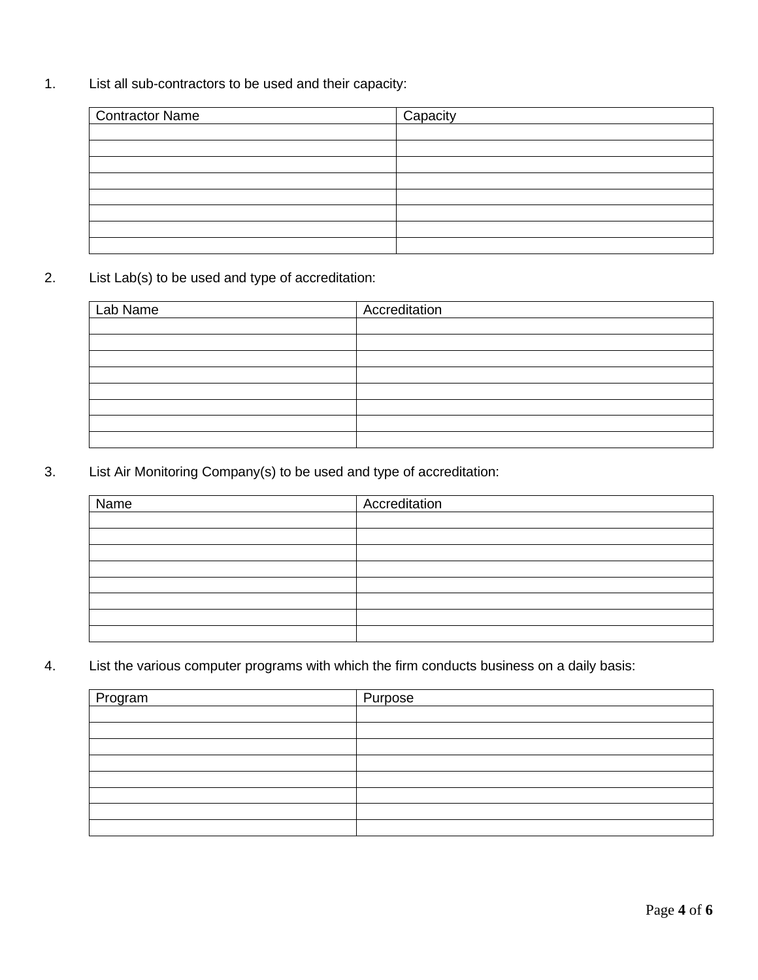1. List all sub-contractors to be used and their capacity:

| <b>Contractor Name</b> | Capacity |
|------------------------|----------|
|                        |          |
|                        |          |
|                        |          |
|                        |          |
|                        |          |
|                        |          |
|                        |          |
|                        |          |

2. List Lab(s) to be used and type of accreditation:

| Lab Name | Accreditation |
|----------|---------------|
|          |               |
|          |               |
|          |               |
|          |               |
|          |               |
|          |               |
|          |               |
|          |               |

3. List Air Monitoring Company(s) to be used and type of accreditation:

| Name | Accreditation |
|------|---------------|
|      |               |
|      |               |
|      |               |
|      |               |
|      |               |
|      |               |
|      |               |
|      |               |

4. List the various computer programs with which the firm conducts business on a daily basis:

| Program | Purpose |
|---------|---------|
|         |         |
|         |         |
|         |         |
|         |         |
|         |         |
|         |         |
|         |         |
|         |         |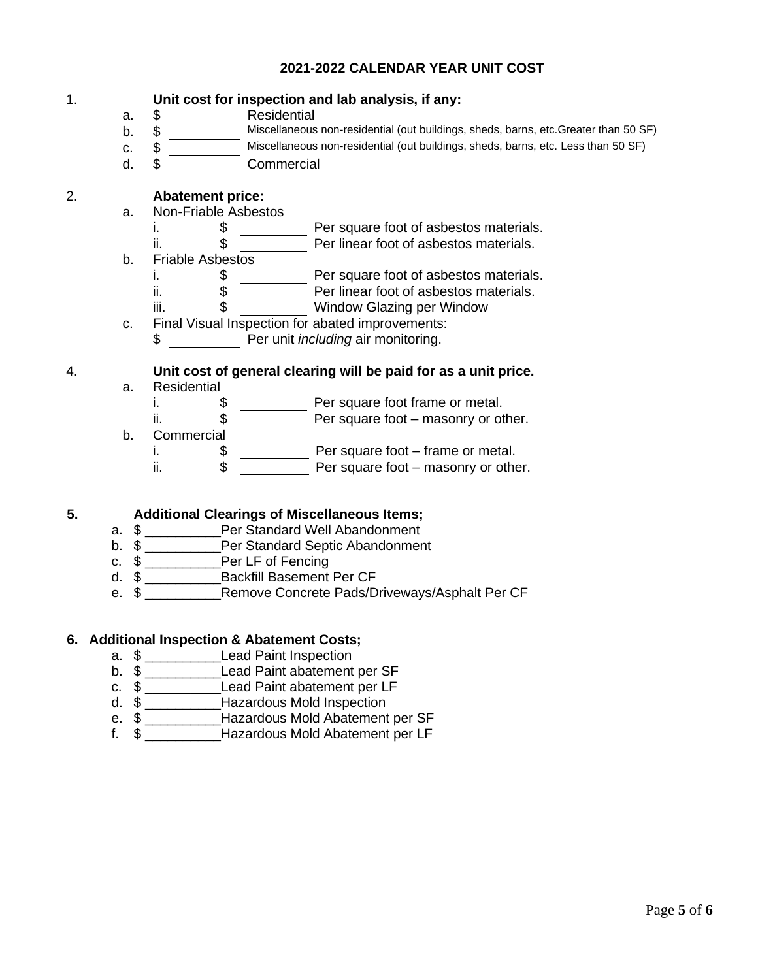## **2021-2022 CALENDAR YEAR UNIT COST**

### 1. **Unit cost for inspection and lab analysis, if any:**

- a. \$ Residential
- b. \$ Miscellaneous non-residential (out buildings, sheds, barns, etc.Greater than 50 SF)
- c. \$ Miscellaneous non-residential (out buildings, sheds, barns, etc. Less than 50 SF)
- d. \$ Commercial

# 2. **Abatement price:**

ii.

- a. Non-Friable Asbestos
	- i.  $\frac{1}{2}$  Per square foot of asbestos materials.
	- ii. \$ Per linear foot of asbestos materials.
- b. Friable Asbestos
	- i.  $\frac{1}{2}$   $\frac{1}{2}$  Per square foot of asbestos materials.
		- \$ Per linear foot of asbestos materials.
	- iii. \$ Window Glazing per Window
- c. Final Visual Inspection for abated improvements: \$ Per unit *including* air monitoring.

#### 4. **Unit cost of general clearing will be paid for as a unit price.** a. Residential

- i.  $\frac{1}{2}$   $\frac{1}{2}$  Per square foot frame or metal.
- ii. \$ Per square foot masonry or other.
- b. Commercial
	- i.  $\frac{1}{2}$   $\frac{1}{2}$  Per square foot frame or metal.
	- $\frac{1}{11}$   $\frac{1}{11}$   $\frac{1}{11}$   $\frac{1}{11}$  Per square foot masonry or other.

### **5. Additional Clearings of Miscellaneous Items;**

- a. \$ \_\_\_\_\_\_\_\_\_\_Per Standard Well Abandonment
- b. \$ **Per Standard Septic Abandonment**
- c. \$ \_\_\_\_\_\_\_\_\_\_Per LF of Fencing
- d. \$ \_\_\_\_\_\_\_\_\_\_Backfill Basement Per CF
- e. \$ Remove Concrete Pads/Driveways/Asphalt Per CF

### **6. Additional Inspection & Abatement Costs;**

- a. \$ Lead Paint Inspection
- b. \$ \_\_\_\_\_\_\_\_\_\_\_\_\_\_\_\_Lead Paint abatement per SF
- c. \$ \_\_\_\_\_\_\_\_\_\_Lead Paint abatement per LF
- d. \$ \_\_\_\_\_\_\_\_\_\_Hazardous Mold Inspection
- e. \$ \_\_\_\_\_\_\_\_\_\_Hazardous Mold Abatement per SF
- f. \$ \_\_\_\_\_\_\_\_\_\_Hazardous Mold Abatement per LF